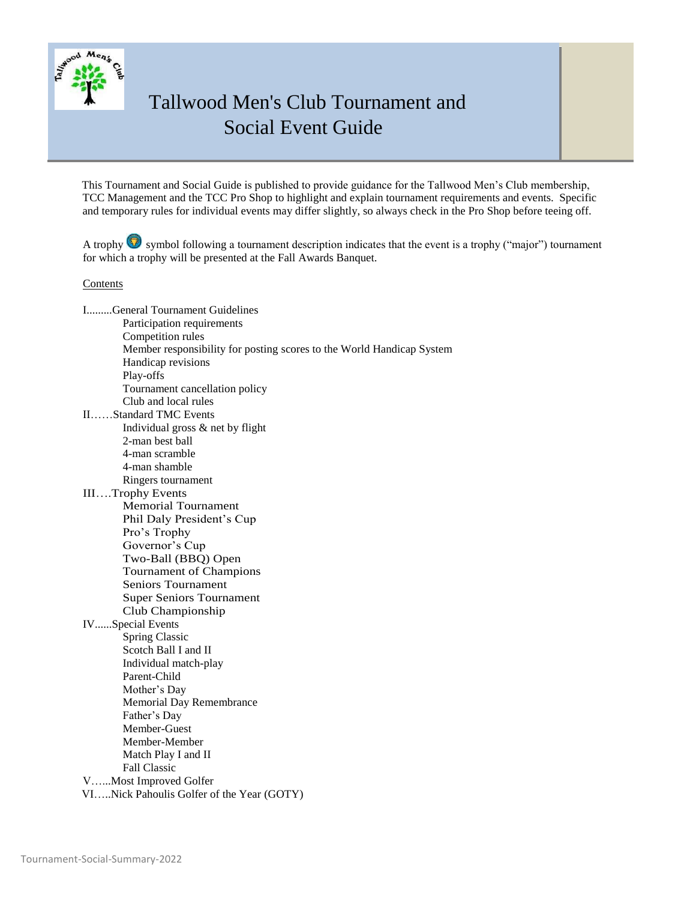

This Tournament and Social Guide is published to provide guidance for the Tallwood Men's Club membership, TCC Management and the TCC Pro Shop to highlight and explain tournament requirements and events. Specific and temporary rules for individual events may differ slightly, so always check in the Pro Shop before teeing off.

A trophy  $\bullet$  symbol following a tournament description indicates that the event is a trophy ("major") tournament for which a trophy will be presented at the Fall Awards Banquet.

#### Contents

I.........General Tournament Guidelines Participation requirements Competition rules Member responsibility for posting scores to the World Handicap System Handicap revisions Play-offs Tournament cancellation policy Club and local rules II……Standard TMC Events Individual gross & net by flight 2-man best ball 4-man scramble 4-man shamble Ringers tournament III….Trophy Events Memorial Tournament Phil Daly President's Cup Pro's Trophy Governor's Cup Two-Ball (BBQ) Open Tournament of Champions Seniors Tournament Super Seniors Tournament Club Championship IV......Special Events Spring Classic Scotch Ball I and II Individual match-play Parent-Child Mother's Day Memorial Day Remembrance Father's Day Member-Guest Member-Member Match Play I and II Fall Classic V…...Most Improved Golfer VI…..Nick Pahoulis Golfer of the Year (GOTY)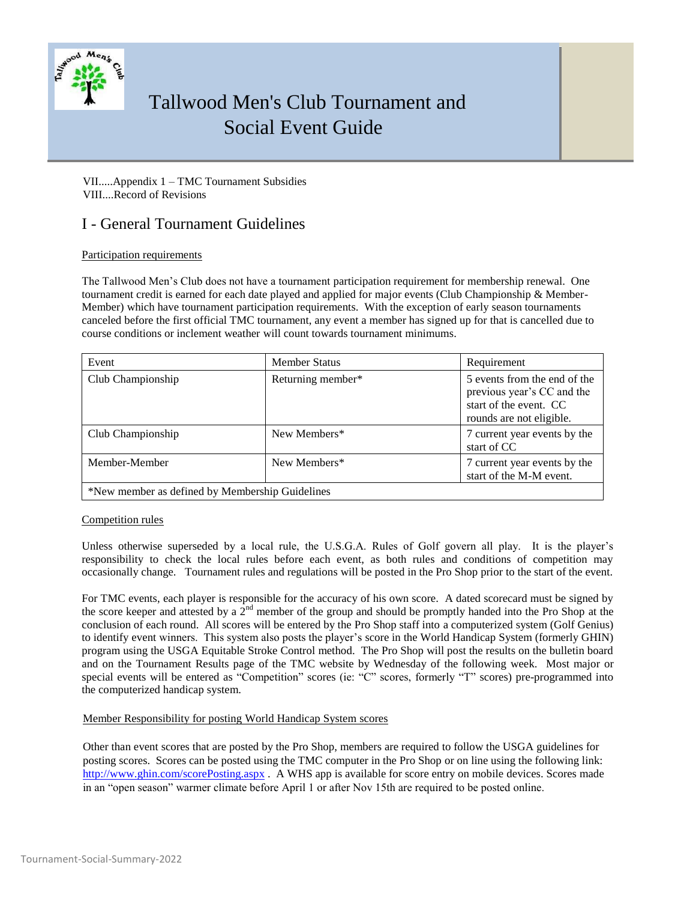

VII.....Appendix 1 – TMC Tournament Subsidies VIII....Record of Revisions

## I - General Tournament Guidelines

### Participation requirements

The Tallwood Men's Club does not have a tournament participation requirement for membership renewal. One tournament credit is earned for each date played and applied for major events (Club Championship & Member-Member) which have tournament participation requirements. With the exception of early season tournaments canceled before the first official TMC tournament, any event a member has signed up for that is cancelled due to course conditions or inclement weather will count towards tournament minimums.

| Event                                           | <b>Member Status</b> | Requirement                                                                                                      |  |
|-------------------------------------------------|----------------------|------------------------------------------------------------------------------------------------------------------|--|
| Club Championship                               | Returning member*    | 5 events from the end of the<br>previous year's CC and the<br>start of the event. CC<br>rounds are not eligible. |  |
| Club Championship                               | New Members*         | 7 current year events by the<br>start of CC                                                                      |  |
| Member-Member                                   | New Members*         | 7 current year events by the<br>start of the M-M event.                                                          |  |
| *New member as defined by Membership Guidelines |                      |                                                                                                                  |  |

#### Competition rules

Unless otherwise superseded by a local rule, the U.S.G.A. Rules of Golf govern all play. It is the player's responsibility to check the local rules before each event, as both rules and conditions of competition may occasionally change. Tournament rules and regulations will be posted in the Pro Shop prior to the start of the event.

For TMC events, each player is responsible for the accuracy of his own score. A dated scorecard must be signed by the score keeper and attested by a  $2<sup>nd</sup>$  member of the group and should be promptly handed into the Pro Shop at the conclusion of each round. All scores will be entered by the Pro Shop staff into a computerized system (Golf Genius) to identify event winners. This system also posts the player's score in the World Handicap System (formerly GHIN) program using the USGA Equitable Stroke Control method. The Pro Shop will post the results on the bulletin board and on the Tournament Results page of the TMC website by Wednesday of the following week. Most major or special events will be entered as "Competition" scores (ie: "C" scores, formerly "T" scores) pre-programmed into the computerized handicap system.

### Member Responsibility for posting World Handicap System scores

Other than event scores that are posted by the Pro Shop, members are required to follow the USGA guidelines for posting scores. Scores can be posted using the TMC computer in the Pro Shop or on line using the following link: http://www.ghin.com/scorePosting.aspx . A WHS app is available for score entry on mobile devices. Scores made in an "open season" warmer climate before April 1 or after Nov 15th are required to be posted online.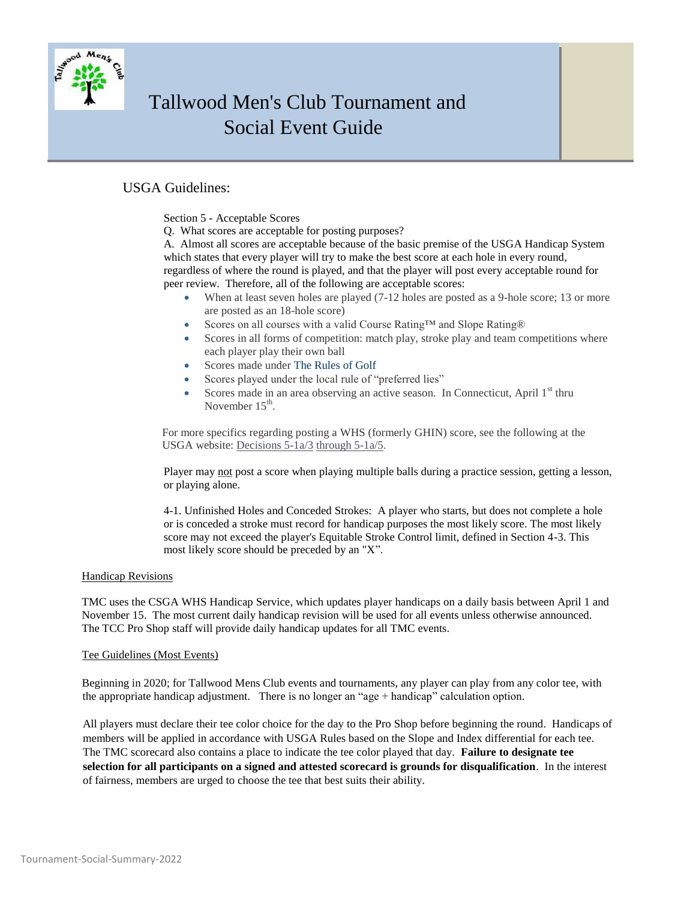

### USGA Guidelines:

Section 5 - Acceptable Scores

Q. What scores are acceptable for posting purposes?

A. Almost all scores are acceptable because of the basic premise of the USGA Handicap System which states that every player will try to make the best score at each hole in every round, regardless of where the round is played, and that the player will post every acceptable round for peer review. Therefore, all of the following are acceptable scores:

- When at least seven holes are played  $(7-12)$  holes are posted as a 9-hole score; 13 or more are posted as an 18-hole score)
- Scores on all courses with a valid Course Rating™ and Slope Rating®
- Scores in all forms of competition: match play, stroke play and team competitions where each player play their own ball
- Scores made under The Rules of Golf
- Scores played under the local rule of "preferred lies"
- Scores made in an area observing an active season. In Connecticut, April  $1<sup>st</sup>$  thru November  $15<sup>th</sup>$ .

For more specifics regarding posting a WHS (formerly GHIN) score, see the following at the USGA website: Decisions 5-1a/3 through 5-1a/5.

Player may not post a score when playing multiple balls during a practice session, getting a lesson, or playing alone.

4-1. Unfinished Holes and Conceded Strokes: A player who starts, but does not complete a hole or is conceded a stroke must record for handicap purposes the most likely score. The most likely score may not exceed the player's Equitable Stroke Control limit, defined in Section 4-3. This most likely score should be preceded by an "X".

#### Handicap Revisions

TMC uses the CSGA WHS Handicap Service, which updates player handicaps on a daily basis between April 1 and November 15. The most current daily handicap revision will be used for all events unless otherwise announced. The TCC Pro Shop staff will provide daily handicap updates for all TMC events.

### Tee Guidelines (Most Events)

Beginning in 2020; for Tallwood Mens Club events and tournaments, any player can play from any color tee, with the appropriate handicap adjustment. There is no longer an "age + handicap" calculation option.

All players must declare their tee color choice for the day to the Pro Shop before beginning the round. Handicaps of members will be applied in accordance with USGA Rules based on the Slope and Index differential for each tee. The TMC scorecard also contains a place to indicate the tee color played that day. **Failure to designate tee selection for all participants on a signed and attested scorecard is grounds for disqualification**. In the interest of fairness, members are urged to choose the tee that best suits their ability.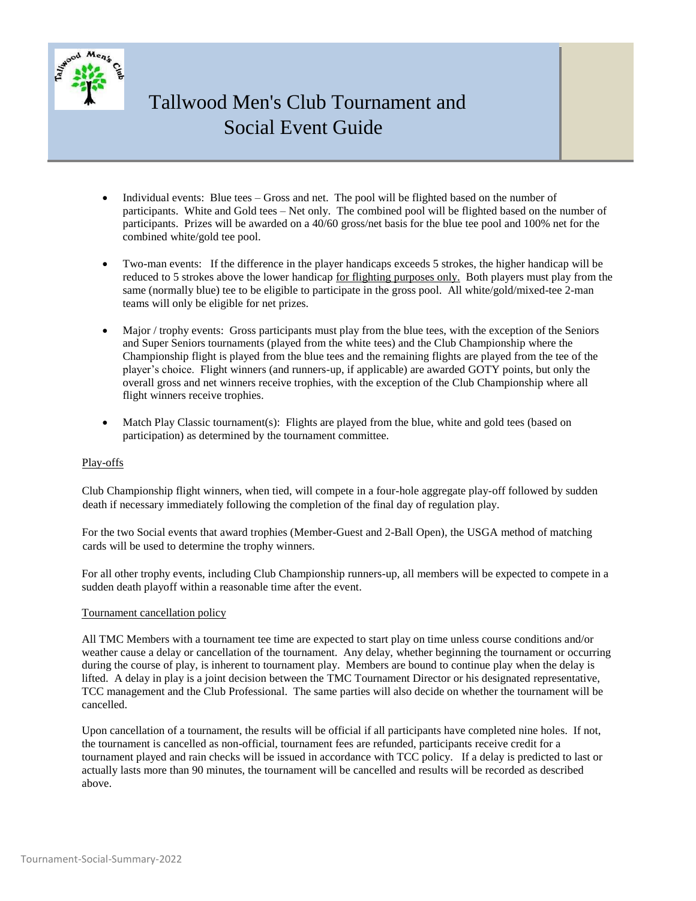

- Individual events: Blue tees Gross and net. The pool will be flighted based on the number of participants. White and Gold tees – Net only. The combined pool will be flighted based on the number of participants. Prizes will be awarded on a 40/60 gross/net basis for the blue tee pool and 100% net for the combined white/gold tee pool.
- Two-man events: If the difference in the player handicaps exceeds 5 strokes, the higher handicap will be reduced to 5 strokes above the lower handicap for flighting purposes only. Both players must play from the same (normally blue) tee to be eligible to participate in the gross pool. All white/gold/mixed-tee 2-man teams will only be eligible for net prizes.
- Major / trophy events: Gross participants must play from the blue tees, with the exception of the Seniors and Super Seniors tournaments (played from the white tees) and the Club Championship where the Championship flight is played from the blue tees and the remaining flights are played from the tee of the player's choice. Flight winners (and runners-up, if applicable) are awarded GOTY points, but only the overall gross and net winners receive trophies, with the exception of the Club Championship where all flight winners receive trophies.
- Match Play Classic tournament(s): Flights are played from the blue, white and gold tees (based on participation) as determined by the tournament committee.

### Play-offs

Club Championship flight winners, when tied, will compete in a four-hole aggregate play-off followed by sudden death if necessary immediately following the completion of the final day of regulation play.

For the two Social events that award trophies (Member-Guest and 2-Ball Open), the USGA method of matching cards will be used to determine the trophy winners.

For all other trophy events, including Club Championship runners-up, all members will be expected to compete in a sudden death playoff within a reasonable time after the event.

#### Tournament cancellation policy

All TMC Members with a tournament tee time are expected to start play on time unless course conditions and/or weather cause a delay or cancellation of the tournament. Any delay, whether beginning the tournament or occurring during the course of play, is inherent to tournament play. Members are bound to continue play when the delay is lifted. A delay in play is a joint decision between the TMC Tournament Director or his designated representative, TCC management and the Club Professional. The same parties will also decide on whether the tournament will be cancelled.

Upon cancellation of a tournament, the results will be official if all participants have completed nine holes. If not, the tournament is cancelled as non-official, tournament fees are refunded, participants receive credit for a tournament played and rain checks will be issued in accordance with TCC policy. If a delay is predicted to last or actually lasts more than 90 minutes, the tournament will be cancelled and results will be recorded as described above.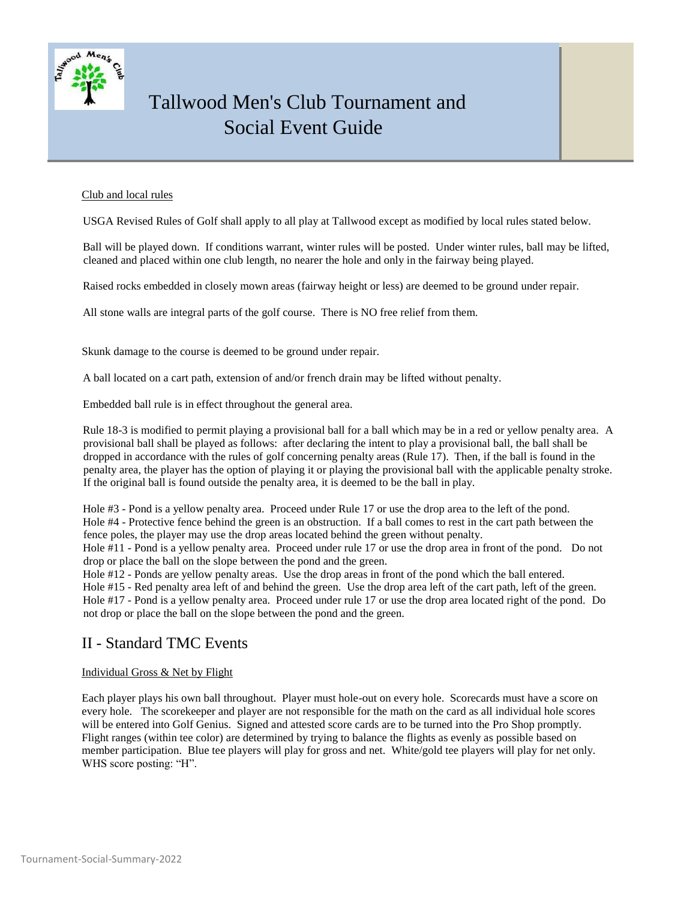

#### Club and local rules

USGA Revised Rules of Golf shall apply to all play at Tallwood except as modified by local rules stated below.

Ball will be played down. If conditions warrant, winter rules will be posted. Under winter rules, ball may be lifted, cleaned and placed within one club length, no nearer the hole and only in the fairway being played.

Raised rocks embedded in closely mown areas (fairway height or less) are deemed to be ground under repair.

All stone walls are integral parts of the golf course. There is NO free relief from them.

Skunk damage to the course is deemed to be ground under repair.

A ball located on a cart path, extension of and/or french drain may be lifted without penalty.

Embedded ball rule is in effect throughout the general area.

Rule 18-3 is modified to permit playing a provisional ball for a ball which may be in a red or yellow penalty area. A provisional ball shall be played as follows: after declaring the intent to play a provisional ball, the ball shall be dropped in accordance with the rules of golf concerning penalty areas (Rule 17). Then, if the ball is found in the penalty area, the player has the option of playing it or playing the provisional ball with the applicable penalty stroke. If the original ball is found outside the penalty area, it is deemed to be the ball in play.

Hole #3 - Pond is a yellow penalty area. Proceed under Rule 17 or use the drop area to the left of the pond. Hole #4 - Protective fence behind the green is an obstruction. If a ball comes to rest in the cart path between the fence poles, the player may use the drop areas located behind the green without penalty.

Hole #11 - Pond is a yellow penalty area. Proceed under rule 17 or use the drop area in front of the pond. Do not drop or place the ball on the slope between the pond and the green.

Hole #12 - Ponds are yellow penalty areas. Use the drop areas in front of the pond which the ball entered.

Hole #15 - Red penalty area left of and behind the green. Use the drop area left of the cart path, left of the green. Hole #17 - Pond is a yellow penalty area. Proceed under rule 17 or use the drop area located right of the pond. Do not drop or place the ball on the slope between the pond and the green.

### II - Standard TMC Events

### Individual Gross & Net by Flight

Each player plays his own ball throughout. Player must hole-out on every hole. Scorecards must have a score on every hole. The scorekeeper and player are not responsible for the math on the card as all individual hole scores will be entered into Golf Genius. Signed and attested score cards are to be turned into the Pro Shop promptly. Flight ranges (within tee color) are determined by trying to balance the flights as evenly as possible based on member participation. Blue tee players will play for gross and net. White/gold tee players will play for net only. WHS score posting: "H".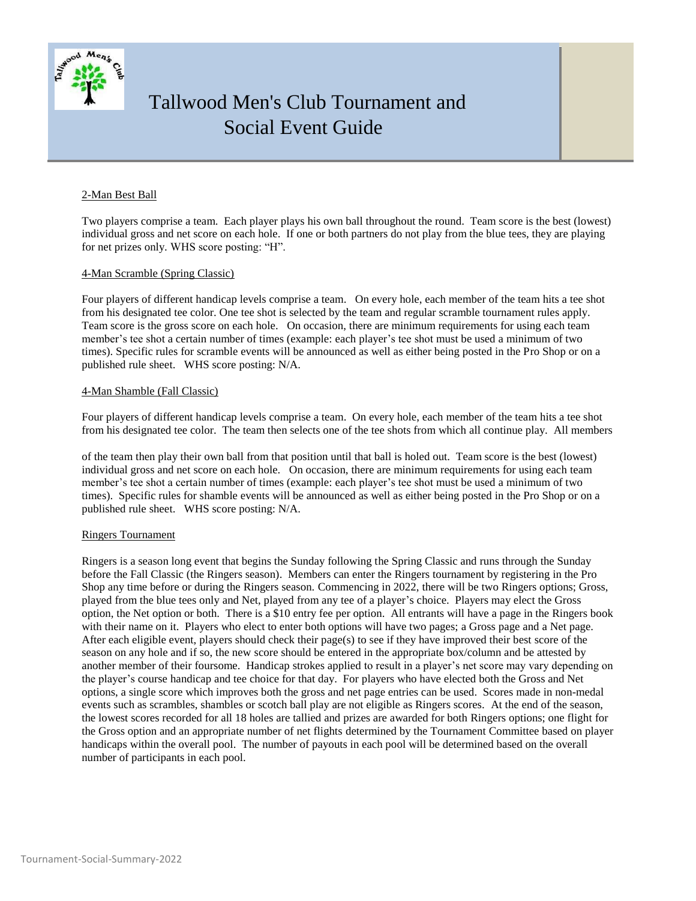

#### 2-Man Best Ball

Two players comprise a team. Each player plays his own ball throughout the round. Team score is the best (lowest) individual gross and net score on each hole. If one or both partners do not play from the blue tees, they are playing for net prizes only. WHS score posting: "H".

#### 4-Man Scramble (Spring Classic)

Four players of different handicap levels comprise a team. On every hole, each member of the team hits a tee shot from his designated tee color. One tee shot is selected by the team and regular scramble tournament rules apply. Team score is the gross score on each hole. On occasion, there are minimum requirements for using each team member's tee shot a certain number of times (example: each player's tee shot must be used a minimum of two times). Specific rules for scramble events will be announced as well as either being posted in the Pro Shop or on a published rule sheet. WHS score posting: N/A.

#### 4-Man Shamble (Fall Classic)

Four players of different handicap levels comprise a team. On every hole, each member of the team hits a tee shot from his designated tee color. The team then selects one of the tee shots from which all continue play. All members

of the team then play their own ball from that position until that ball is holed out. Team score is the best (lowest) individual gross and net score on each hole. On occasion, there are minimum requirements for using each team member's tee shot a certain number of times (example: each player's tee shot must be used a minimum of two times). Specific rules for shamble events will be announced as well as either being posted in the Pro Shop or on a published rule sheet. WHS score posting: N/A.

#### Ringers Tournament

Ringers is a season long event that begins the Sunday following the Spring Classic and runs through the Sunday before the Fall Classic (the Ringers season). Members can enter the Ringers tournament by registering in the Pro Shop any time before or during the Ringers season. Commencing in 2022, there will be two Ringers options; Gross, played from the blue tees only and Net, played from any tee of a player's choice. Players may elect the Gross option, the Net option or both. There is a \$10 entry fee per option. All entrants will have a page in the Ringers book with their name on it. Players who elect to enter both options will have two pages; a Gross page and a Net page. After each eligible event, players should check their page(s) to see if they have improved their best score of the season on any hole and if so, the new score should be entered in the appropriate box/column and be attested by another member of their foursome. Handicap strokes applied to result in a player's net score may vary depending on the player's course handicap and tee choice for that day. For players who have elected both the Gross and Net options, a single score which improves both the gross and net page entries can be used. Scores made in non-medal events such as scrambles, shambles or scotch ball play are not eligible as Ringers scores. At the end of the season, the lowest scores recorded for all 18 holes are tallied and prizes are awarded for both Ringers options; one flight for the Gross option and an appropriate number of net flights determined by the Tournament Committee based on player handicaps within the overall pool. The number of payouts in each pool will be determined based on the overall number of participants in each pool.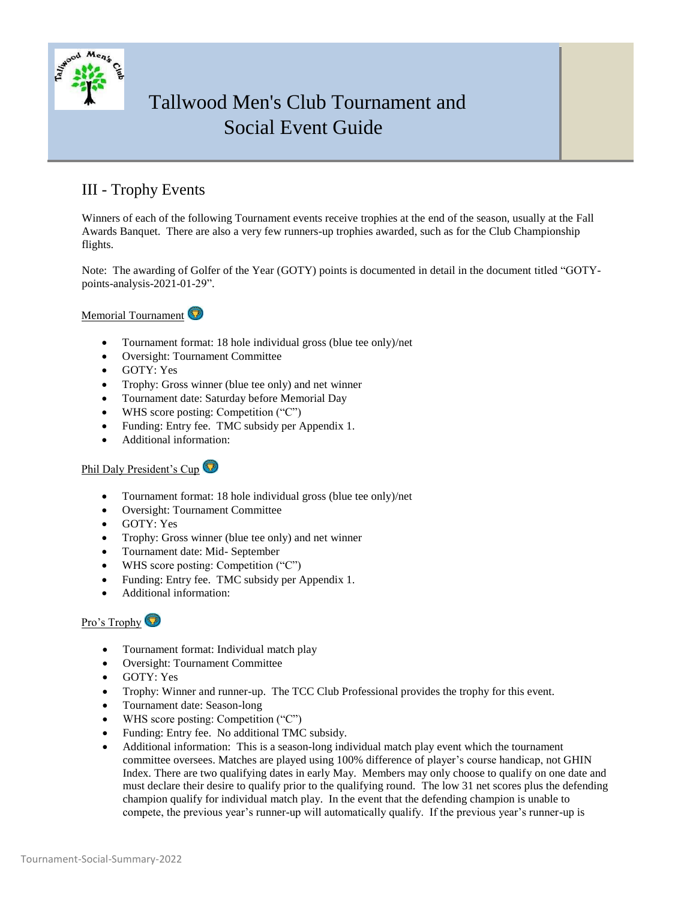

## III - Trophy Events

Winners of each of the following Tournament events receive trophies at the end of the season, usually at the Fall Awards Banquet. There are also a very few runners-up trophies awarded, such as for the Club Championship flights.

Note: The awarding of Golfer of the Year (GOTY) points is documented in detail in the document titled "GOTYpoints-analysis-2021-01-29".

Memorial Tournament

- Tournament format: 18 hole individual gross (blue tee only)/net
- Oversight: Tournament Committee
- GOTY: Yes
- Trophy: Gross winner (blue tee only) and net winner
- Tournament date: Saturday before Memorial Day
- WHS score posting: Competition ("C")
- Funding: Entry fee. TMC subsidy per Appendix 1.
- Additional information:

### Phil Daly President's Cup

- Tournament format: 18 hole individual gross (blue tee only)/net
- Oversight: Tournament Committee
- GOTY: Yes
- Trophy: Gross winner (blue tee only) and net winner
- Tournament date: Mid- September
- WHS score posting: Competition ("C")
- Funding: Entry fee. TMC subsidy per Appendix 1.
- Additional information:

### Pro's Trophy

- Tournament format: Individual match play
- Oversight: Tournament Committee
- GOTY: Yes
- Trophy: Winner and runner-up. The TCC Club Professional provides the trophy for this event.
- Tournament date: Season-long
- WHS score posting: Competition ("C")
- Funding: Entry fee. No additional TMC subsidy.
- Additional information: This is a season-long individual match play event which the tournament committee oversees. Matches are played using 100% difference of player's course handicap, not GHIN Index. There are two qualifying dates in early May. Members may only choose to qualify on one date and must declare their desire to qualify prior to the qualifying round. The low 31 net scores plus the defending champion qualify for individual match play. In the event that the defending champion is unable to compete, the previous year's runner-up will automatically qualify. If the previous year's runner-up is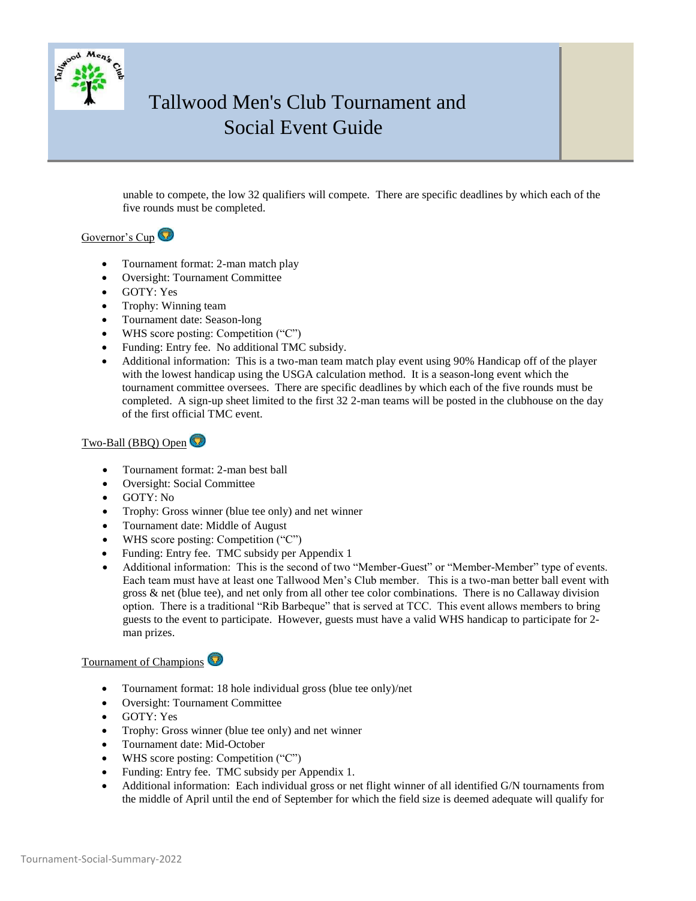

unable to compete, the low 32 qualifiers will compete. There are specific deadlines by which each of the five rounds must be completed.

### Governor's Cup<sup>O</sup>

- Tournament format: 2-man match play
- Oversight: Tournament Committee
- GOTY: Yes
- Trophy: Winning team
- Tournament date: Season-long
- WHS score posting: Competition ("C")
- Funding: Entry fee. No additional TMC subsidy.
- Additional information: This is a two-man team match play event using 90% Handicap off of the player with the lowest handicap using the USGA calculation method. It is a season-long event which the tournament committee oversees. There are specific deadlines by which each of the five rounds must be completed. A sign-up sheet limited to the first 32 2-man teams will be posted in the clubhouse on the day of the first official TMC event.

### Two-Ball (BBQ) Open

- Tournament format: 2-man best ball
- Oversight: Social Committee
- GOTY: No
- Trophy: Gross winner (blue tee only) and net winner
- Tournament date: Middle of August
- WHS score posting: Competition ("C")
- Funding: Entry fee. TMC subsidy per Appendix 1
- Additional information: This is the second of two "Member-Guest" or "Member-Member" type of events. Each team must have at least one Tallwood Men's Club member. This is a two-man better ball event with gross & net (blue tee), and net only from all other tee color combinations. There is no Callaway division option. There is a traditional "Rib Barbeque" that is served at TCC. This event allows members to bring guests to the event to participate. However, guests must have a valid WHS handicap to participate for 2 man prizes.

### Tournament of Champions

- Tournament format: 18 hole individual gross (blue tee only)/net
- Oversight: Tournament Committee
- GOTY: Yes
- Trophy: Gross winner (blue tee only) and net winner
- Tournament date: Mid-October
- WHS score posting: Competition ("C")
- Funding: Entry fee. TMC subsidy per Appendix 1.
- Additional information: Each individual gross or net flight winner of all identified G/N tournaments from the middle of April until the end of September for which the field size is deemed adequate will qualify for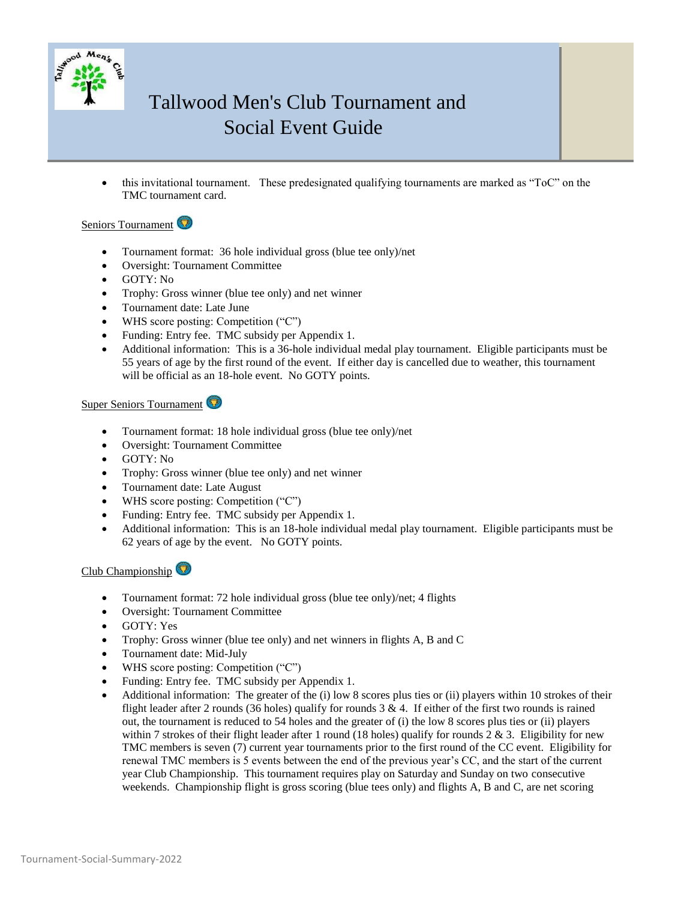

 this invitational tournament. These predesignated qualifying tournaments are marked as "ToC" on the TMC tournament card.

### Seniors Tournament

- Tournament format: 36 hole individual gross (blue tee only)/net
- Oversight: Tournament Committee
- GOTY: No
- Trophy: Gross winner (blue tee only) and net winner
- Tournament date: Late June
- WHS score posting: Competition ("C")
- Funding: Entry fee. TMC subsidy per Appendix 1.
- Additional information: This is a 36-hole individual medal play tournament. Eligible participants must be 55 years of age by the first round of the event. If either day is cancelled due to weather, this tournament will be official as an 18-hole event. No GOTY points.

#### Super Seniors Tournament

- Tournament format: 18 hole individual gross (blue tee only)/net
- Oversight: Tournament Committee
- GOTY: No
- Trophy: Gross winner (blue tee only) and net winner
- Tournament date: Late August
- WHS score posting: Competition ("C")
- Funding: Entry fee. TMC subsidy per Appendix 1.
- Additional information: This is an 18-hole individual medal play tournament. Eligible participants must be 62 years of age by the event. No GOTY points.

Club Championship

- Tournament format: 72 hole individual gross (blue tee only)/net; 4 flights
- Oversight: Tournament Committee
- GOTY: Yes
- Trophy: Gross winner (blue tee only) and net winners in flights A, B and C
- Tournament date: Mid-July
- WHS score posting: Competition ("C")
- Funding: Entry fee. TMC subsidy per Appendix 1.
- Additional information: The greater of the (i) low 8 scores plus ties or (ii) players within 10 strokes of their flight leader after 2 rounds (36 holes) qualify for rounds  $3 \& 4$ . If either of the first two rounds is rained out, the tournament is reduced to 54 holes and the greater of (i) the low 8 scores plus ties or (ii) players within 7 strokes of their flight leader after 1 round (18 holes) qualify for rounds  $2 & 3$ . Eligibility for new TMC members is seven (7) current year tournaments prior to the first round of the CC event. Eligibility for renewal TMC members is 5 events between the end of the previous year's CC, and the start of the current year Club Championship. This tournament requires play on Saturday and Sunday on two consecutive weekends. Championship flight is gross scoring (blue tees only) and flights A, B and C, are net scoring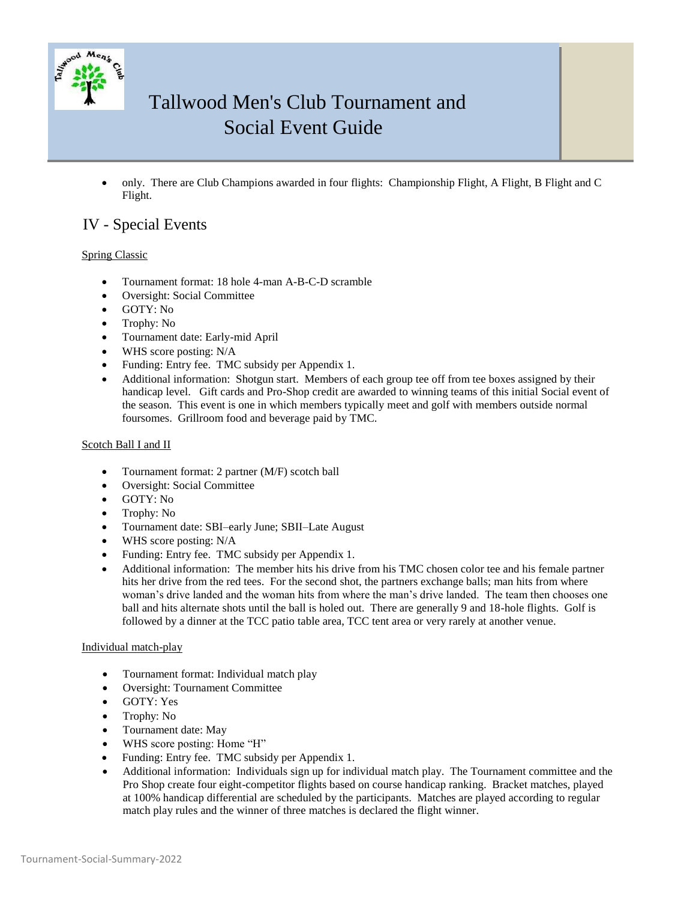

 only. There are Club Champions awarded in four flights: Championship Flight, A Flight, B Flight and C Flight.

## IV - Special Events

### Spring Classic

- Tournament format: 18 hole 4-man A-B-C-D scramble
- Oversight: Social Committee
- GOTY: No
- Trophy: No
- Tournament date: Early-mid April
- WHS score posting: N/A
- Funding: Entry fee. TMC subsidy per Appendix 1.
- Additional information: Shotgun start. Members of each group tee off from tee boxes assigned by their handicap level. Gift cards and Pro-Shop credit are awarded to winning teams of this initial Social event of the season. This event is one in which members typically meet and golf with members outside normal foursomes. Grillroom food and beverage paid by TMC.

#### Scotch Ball I and II

- Tournament format: 2 partner (M/F) scotch ball
- Oversight: Social Committee
- GOTY: No
- Trophy: No
- Tournament date: SBI–early June; SBII–Late August
- WHS score posting: N/A
- Funding: Entry fee. TMC subsidy per Appendix 1.
- Additional information: The member hits his drive from his TMC chosen color tee and his female partner hits her drive from the red tees. For the second shot, the partners exchange balls; man hits from where woman's drive landed and the woman hits from where the man's drive landed. The team then chooses one ball and hits alternate shots until the ball is holed out. There are generally 9 and 18-hole flights. Golf is followed by a dinner at the TCC patio table area, TCC tent area or very rarely at another venue.

### Individual match-play

- Tournament format: Individual match play
- Oversight: Tournament Committee
- GOTY: Yes
- Trophy: No
- Tournament date: May
- WHS score posting: Home "H"
- Funding: Entry fee. TMC subsidy per Appendix 1.
- Additional information: Individuals sign up for individual match play. The Tournament committee and the Pro Shop create four eight-competitor flights based on course handicap ranking. Bracket matches, played at 100% handicap differential are scheduled by the participants. Matches are played according to regular match play rules and the winner of three matches is declared the flight winner.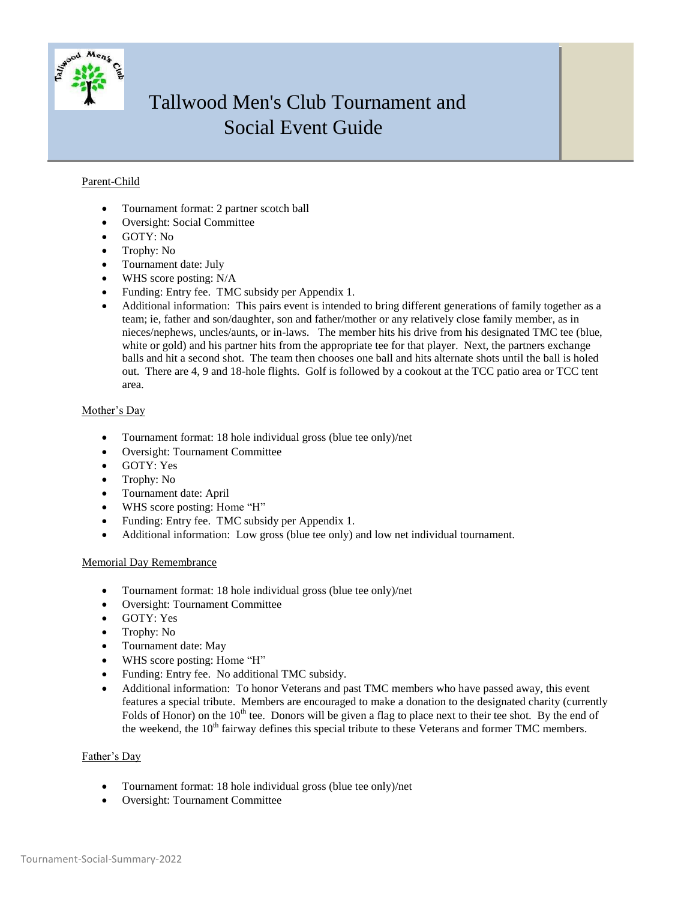

### Parent-Child

- Tournament format: 2 partner scotch ball
- Oversight: Social Committee
- GOTY: No
- Trophy: No
- Tournament date: July
- WHS score posting: N/A
- Funding: Entry fee. TMC subsidy per Appendix 1.
- Additional information: This pairs event is intended to bring different generations of family together as a team; ie, father and son/daughter, son and father/mother or any relatively close family member, as in nieces/nephews, uncles/aunts, or in-laws. The member hits his drive from his designated TMC tee (blue, white or gold) and his partner hits from the appropriate tee for that player. Next, the partners exchange balls and hit a second shot. The team then chooses one ball and hits alternate shots until the ball is holed out. There are 4, 9 and 18-hole flights. Golf is followed by a cookout at the TCC patio area or TCC tent area.

### Mother's Day

- Tournament format: 18 hole individual gross (blue tee only)/net
- Oversight: Tournament Committee
- GOTY: Yes
- Trophy: No
- Tournament date: April
- WHS score posting: Home "H"
- Funding: Entry fee. TMC subsidy per Appendix 1.
- Additional information: Low gross (blue tee only) and low net individual tournament.

#### Memorial Day Remembrance

- Tournament format: 18 hole individual gross (blue tee only)/net
- Oversight: Tournament Committee
- GOTY: Yes
- Trophy: No
- Tournament date: May
- WHS score posting: Home "H"
- Funding: Entry fee. No additional TMC subsidy.
- Additional information: To honor Veterans and past TMC members who have passed away, this event features a special tribute. Members are encouraged to make a donation to the designated charity (currently Folds of Honor) on the  $10<sup>th</sup>$  tee. Donors will be given a flag to place next to their tee shot. By the end of the weekend, the 10<sup>th</sup> fairway defines this special tribute to these Veterans and former TMC members.

### Father's Day

- Tournament format: 18 hole individual gross (blue tee only)/net
- Oversight: Tournament Committee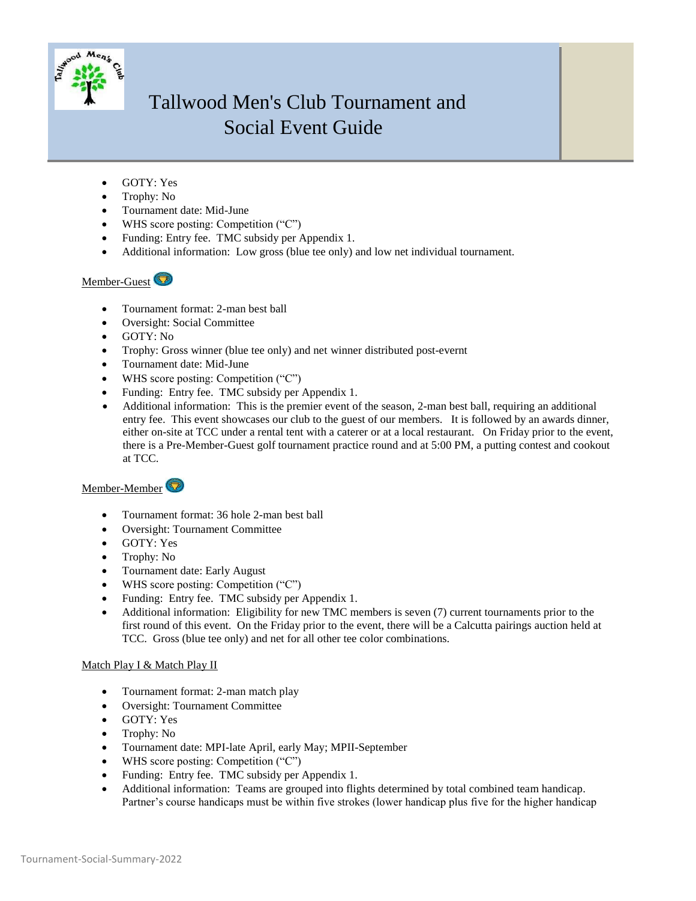

- GOTY: Yes
- Trophy: No
- Tournament date: Mid-June
- WHS score posting: Competition ("C")
- Funding: Entry fee. TMC subsidy per Appendix 1.
- Additional information: Low gross (blue tee only) and low net individual tournament.

### Member-Guest

- Tournament format: 2-man best ball
- Oversight: Social Committee
- GOTY: No
- Trophy: Gross winner (blue tee only) and net winner distributed post-evernt
- Tournament date: Mid-June
- WHS score posting: Competition ("C")
- Funding: Entry fee. TMC subsidy per Appendix 1.
- Additional information: This is the premier event of the season, 2-man best ball, requiring an additional entry fee. This event showcases our club to the guest of our members. It is followed by an awards dinner, either on-site at TCC under a rental tent with a caterer or at a local restaurant. On Friday prior to the event, there is a Pre-Member-Guest golf tournament practice round and at 5:00 PM, a putting contest and cookout at TCC.

### Member-Member

- Tournament format: 36 hole 2-man best ball
- Oversight: Tournament Committee
- GOTY: Yes
- Trophy: No
- Tournament date: Early August
- WHS score posting: Competition ("C")
- Funding: Entry fee. TMC subsidy per Appendix 1.
- Additional information: Eligibility for new TMC members is seven (7) current tournaments prior to the first round of this event. On the Friday prior to the event, there will be a Calcutta pairings auction held at TCC. Gross (blue tee only) and net for all other tee color combinations.

### Match Play I & Match Play II

- Tournament format: 2-man match play
- Oversight: Tournament Committee
- GOTY: Yes
- Trophy: No
- Tournament date: MPI-late April, early May; MPII-September
- WHS score posting: Competition ("C")
- Funding: Entry fee. TMC subsidy per Appendix 1.
- Additional information: Teams are grouped into flights determined by total combined team handicap. Partner's course handicaps must be within five strokes (lower handicap plus five for the higher handicap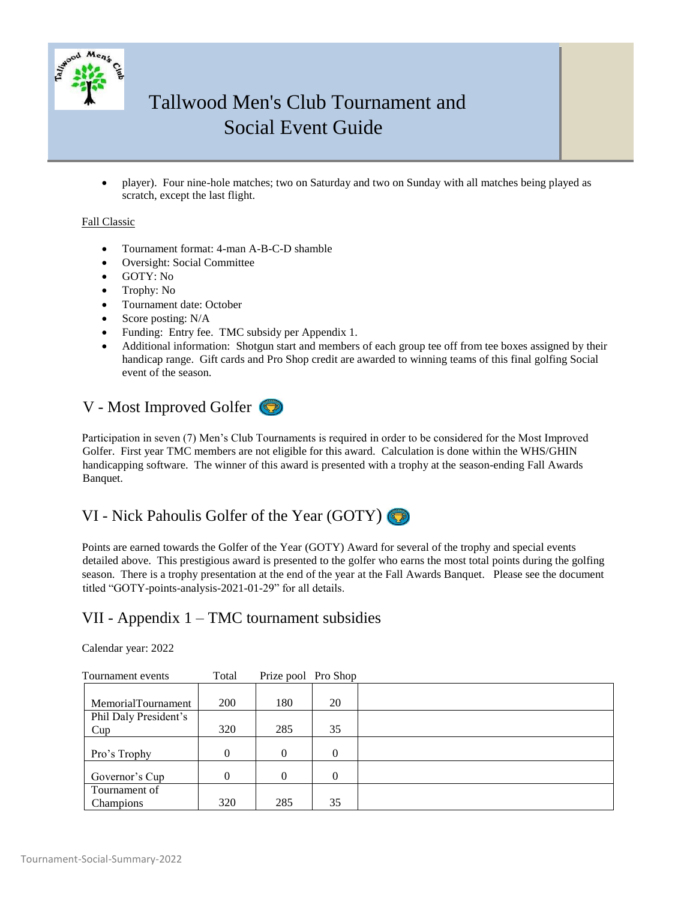

 player). Four nine-hole matches; two on Saturday and two on Sunday with all matches being played as scratch, except the last flight.

### Fall Classic

- Tournament format: 4-man A-B-C-D shamble
- Oversight: Social Committee
- GOTY: No
- Trophy: No
- Tournament date: October
- Score posting: N/A
- Funding: Entry fee. TMC subsidy per Appendix 1.
- Additional information: Shotgun start and members of each group tee off from tee boxes assigned by their handicap range. Gift cards and Pro Shop credit are awarded to winning teams of this final golfing Social event of the season.

## V - Most Improved Golfer

Participation in seven (7) Men's Club Tournaments is required in order to be considered for the Most Improved Golfer. First year TMC members are not eligible for this award. Calculation is done within the WHS/GHIN handicapping software. The winner of this award is presented with a trophy at the season-ending Fall Awards Banquet.

## VI - Nick Pahoulis Golfer of the Year (GOTY)

Points are earned towards the Golfer of the Year (GOTY) Award for several of the trophy and special events detailed above. This prestigious award is presented to the golfer who earns the most total points during the golfing season. There is a trophy presentation at the end of the year at the Fall Awards Banquet. Please see the document titled "GOTY-points-analysis-2021-01-29" for all details.

### VII - Appendix 1 – TMC tournament subsidies

### Calendar year: 2022

| Tournament events         | Total    | Prize pool Pro Shop |          |  |
|---------------------------|----------|---------------------|----------|--|
|                           |          |                     |          |  |
| <b>MemorialTournament</b> | 200      | 180                 | 20       |  |
| Phil Daly President's     |          |                     |          |  |
| Cup                       | 320      | 285                 | 35       |  |
|                           |          |                     |          |  |
| Pro's Trophy              | $\theta$ | 0                   | $\Omega$ |  |
|                           |          |                     |          |  |
| Governor's Cup            | $\Omega$ | 0                   | $\Omega$ |  |
| Tournament of             |          |                     |          |  |
| <b>Champions</b>          | 320      | 285                 | 35       |  |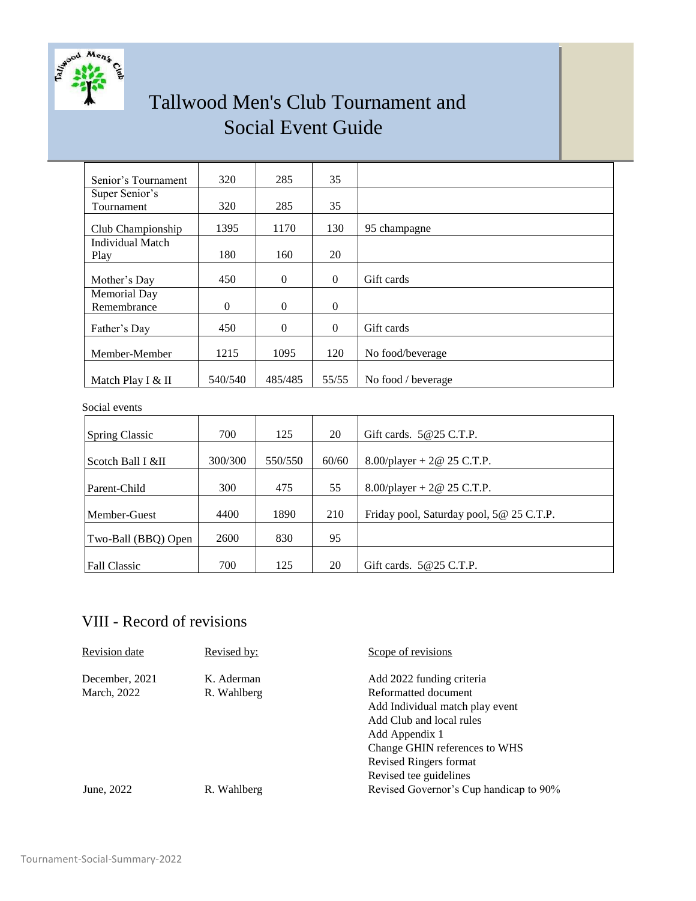

| Senior's Tournament     | 320          | 285          | 35       |                    |
|-------------------------|--------------|--------------|----------|--------------------|
| Super Senior's          |              |              |          |                    |
| Tournament              | 320          | 285          | 35       |                    |
| Club Championship       | 1395         | 1170         | 130      | 95 champagne       |
| <b>Individual Match</b> |              |              |          |                    |
| Play                    | 180          | 160          | 20       |                    |
|                         |              |              |          |                    |
| Mother's Day            | 450          | $\mathbf{0}$ | $\Omega$ | Gift cards         |
| Memorial Day            |              |              |          |                    |
| Remembrance             | $\mathbf{0}$ | $\Omega$     | $\Omega$ |                    |
| Father's Day            | 450          | $\mathbf{0}$ | $\Omega$ | Gift cards         |
| Member-Member           | 1215         | 1095         | 120      | No food/beverage   |
| Match Play I & II       | 540/540      | 485/485      | 55/55    | No food / beverage |

### Social events

| <b>Spring Classic</b> | 700     | 125     | 20    | Gift cards. $5@25$ C.T.P.                |
|-----------------------|---------|---------|-------|------------------------------------------|
| Scotch Ball I &II     | 300/300 | 550/550 | 60/60 | 8.00/player + $2@$ 25 C.T.P.             |
| Parent-Child          | 300     | 475     | 55    | 8.00/player + $2@$ 25 C.T.P.             |
| Member-Guest          | 4400    | 1890    | 210   | Friday pool, Saturday pool, 5@ 25 C.T.P. |
| Two-Ball (BBQ) Open   | 2600    | 830     | 95    |                                          |
| <b>Fall Classic</b>   | 700     | 125     | 20    | Gift cards. $5@25$ C.T.P.                |

## VIII - Record of revisions

| Revision date                 | Revised by:               | Scope of revisions                                                                                                                                                                                                      |
|-------------------------------|---------------------------|-------------------------------------------------------------------------------------------------------------------------------------------------------------------------------------------------------------------------|
| December, 2021<br>March, 2022 | K. Aderman<br>R. Wahlberg | Add 2022 funding criteria<br>Reformatted document<br>Add Individual match play event<br>Add Club and local rules<br>Add Appendix 1<br>Change GHIN references to WHS<br>Revised Ringers format<br>Revised tee guidelines |
| June, 2022                    | R. Wahlberg               | Revised Governor's Cup handicap to 90%                                                                                                                                                                                  |